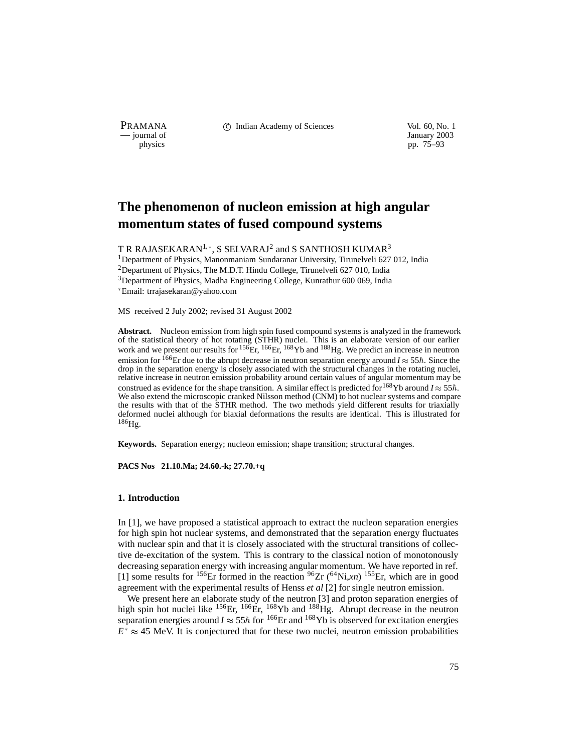PRAMANA 
<sup>c</sup> Indian Academy of Sciences 
<sup>Vol. 60, No. 1
<sup>1</sup> January 2003</sup>

January 2003 physics pp. 75–93

# **The phenomenon of nucleon emission at high angular momentum states of fused compound systems**

T R RAJASEKARAN $^{1,\ast}$ , S SELVARAJ $^{2}$  and S SANTHOSH KUMAR $^{3}$ 

<sup>1</sup>Department of Physics, Manonmaniam Sundaranar University, Tirunelveli 627 012, India <sup>2</sup>Department of Physics, The M.D.T. Hindu College, Tirunelveli 627 010, India 3Department of Physics, Madha Engineering College, Kunrathur 600 069, India Email: trrajasekaran@yahoo.com

MS received 2 July 2002; revised 31 August 2002

**Abstract.** Nucleon emission from high spin fused compound systems is analyzed in the framework of the statistical theory of hot rotating (STHR) nuclei. This is an elaborate version of our earlier work and we present our results for <sup>156</sup>Er, <sup>166</sup>Er, <sup>168</sup>Yb and <sup>188</sup>Hg. We predict an increase in neutron emission for <sup>166</sup>Er due to the abrupt decrease in neutron separation energy around  $I \approx 55\hbar$ . Since the drop in the separation energy is closely associated with the structural changes in the rotating nuclei, relative increase in neutron emission probability around certain values of angular momentum may be construed as evidence for the shape transition. A similar effect is predicted for <sup>168</sup>Yb around  $I \approx 55\hbar$ . We also extend the microscopic cranked Nilsson method (CNM) to hot nuclear systems and compare the results with that of the STHR method. The two methods yield different results for triaxially deformed nuclei although for biaxial deformations the results are identical. This is illustrated for  $186$ Hg.

**Keywords.** Separation energy; nucleon emission; shape transition; structural changes.

**PACS Nos 21.10.Ma; 24.60.-k; 27.70.+q**

#### **1. Introduction**

In [1], we have proposed a statistical approach to extract the nucleon separation energies for high spin hot nuclear systems, and demonstrated that the separation energy fluctuates with nuclear spin and that it is closely associated with the structural transitions of collective de-excitation of the system. This is contrary to the classical notion of monotonously decreasing separation energy with increasing angular momentum. We have reported in ref. [1] some results for <sup>156</sup>Er formed in the reaction <sup>96</sup>Zr (<sup>64</sup>Ni,*xn*) <sup>155</sup>Er, which are in good agreement with the experimental results of Henss *et al* [2] for single neutron emission.

We present here an elaborate study of the neutron [3] and proton separation energies of high spin hot nuclei like <sup>156</sup>Er, <sup>166</sup>Er, <sup>168</sup>Yb and <sup>188</sup>Hg. Abrupt decrease in the neutron separation energies around  $I \approx 55\hbar$  for <sup>166</sup>Er and <sup>168</sup>Yb is observed for excitation energies  $E^* \approx 45$  MeV. It is conjectured that for these two nuclei, neutron emission probabilities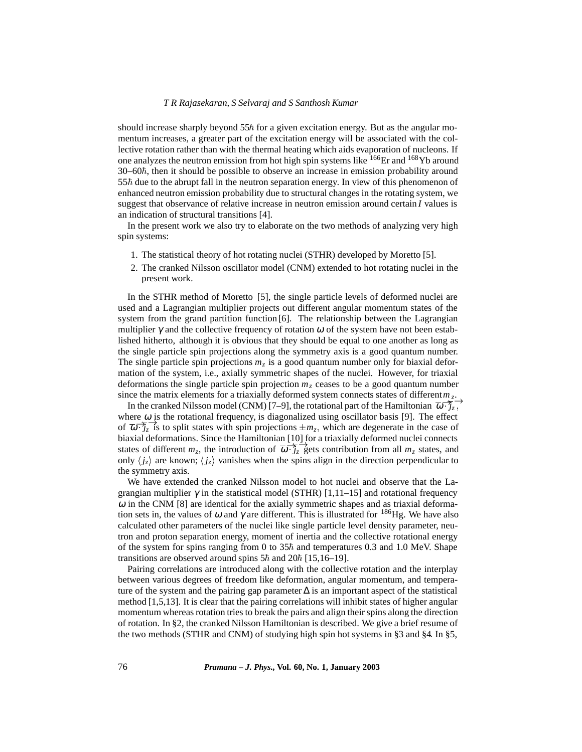should increase sharply beyond  $55<sup>\hbar</sup>$  for a given excitation energy. But as the angular momentum increases, a greater part of the excitation energy will be associated with the collective rotation rather than with the thermal heating which aids evaporation of nucleons. If one analyzes the neutron emission from hot high spin systems like  $166Er$  and  $168Yb$  around  $30-60<sup>\hbar</sup>$ , then it should be possible to observe an increase in emission probability around  $55\hbar$  due to the abrupt fall in the neutron separation energy. In view of this phenomenon of enhanced neutron emission probability due to structural changes in the rotating system, we suggest that observance of relative increase in neutron emission around certain *I* values is an indication of structural transitions [4].

In the present work we also try to elaborate on the two methods of analyzing very high spin systems:

- 1. The statistical theory of hot rotating nuclei (STHR) developed by Moretto [5].
- 2. The cranked Nilsson oscillator model (CNM) extended to hot rotating nuclei in the present work.

In the STHR method of Moretto [5], the single particle levels of deformed nuclei are used and a Lagrangian multiplier projects out different angular momentum states of the system from the grand partition function [6]. The relationship between the Lagrangian multiplier  $\gamma$  and the collective frequency of rotation  $\omega$  of the system have not been established hitherto, although it is obvious that they should be equal to one another as long as the single particle spin projections along the symmetry axis is a good quantum number. The single particle spin projections *mz* is a good quantum number only for biaxial deformation of the system, i.e., axially symmetric shapes of the nuclei. However, for triaxial deformations the single particle spin projection *mz* ceases to be a good quantum number since the matrix elements for a triaxially deformed system connects states of different  $m_z$ .

In the cranked Nilsson model (CNM) [7–9], the rotational part of the Hamiltonian  $\overline{\omega}$ <sup>- $\overline{\mathcal{J}}$ <sub>z</sub>,<sup>-</sup></sup> where  $\omega$  is the rotational frequency, is diagonalized using oscillator basis [9]. The effect of  $\overline{\omega}$   $\overline{\hat{j}_z}$  is to split states with spin projections  $\pm m_z$ , which are degenerate in the case of biaxial deformations. Since the Hamiltonian [10] for a triaxially deformed nuclei connects states of different  $m_z$ , the introduction of  $\overline{\omega}$   $\overline{\overline{j_z}}$  gets contribution from all  $m_z$  states, and only  $\langle j_z \rangle$  are known;  $\langle j_z \rangle$  vanishes when the spins align in the direction perpendicular to the symmetry axis.

We have extended the cranked Nilsson model to hot nuclei and observe that the Lagrangian multiplier  $\gamma$  in the statistical model (STHR) [1,11–15] and rotational frequency  $\omega$  in the CNM [8] are identical for the axially symmetric shapes and as triaxial deformation sets in, the values of  $\omega$  and  $\gamma$  are different. This is illustrated for <sup>186</sup>Hg. We have also calculated other parameters of the nuclei like single particle level density parameter, neutron and proton separation energy, moment of inertia and the collective rotational energy of the system for spins ranging from 0 to  $35\hbar$  and temperatures 0.3 and 1.0 MeV. Shape transitions are observed around spins  $5\hbar$  and  $20\hbar$  [15,16–19].

Pairing correlations are introduced along with the collective rotation and the interplay between various degrees of freedom like deformation, angular momentum, and temperature of the system and the pairing gap parameter  $\Delta$  is an important aspect of the statistical method [1,5,13]. It is clear that the pairing correlations will inhibit states of higher angular momentum whereas rotation tries to break the pairs and align their spins along the direction of rotation. In §2, the cranked Nilsson Hamiltonian is described. We give a brief resume of the two methods (STHR and CNM) of studying high spin hot systems in §3 and §4: In §5,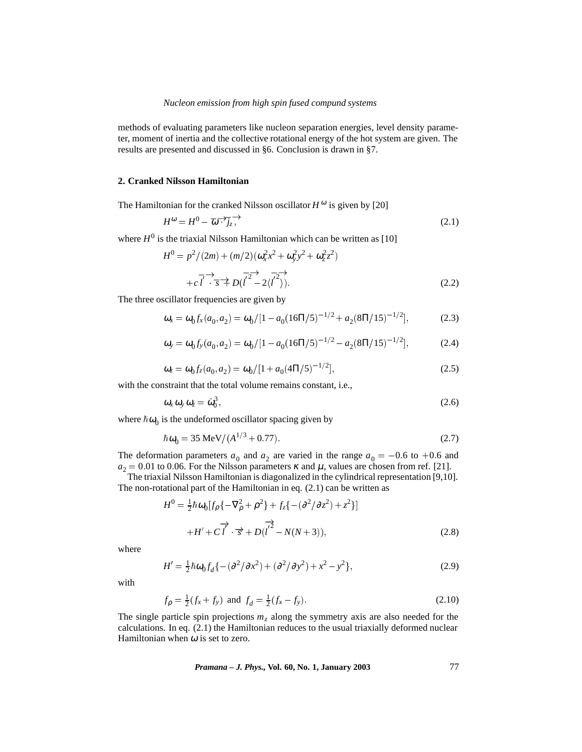methods of evaluating parameters like nucleon separation energies, level density parameter, moment of inertia and the collective rotational energy of the hot system are given. The results are presented and discussed in §6. Conclusion is drawn in §7.

### **2. Cranked Nilsson Hamiltonian**

The Hamiltonian for the cranked Nilsson oscillator  $H^{\omega}$  is given by [20]

$$
H^{\omega} = H^0 - \overline{\omega} \overline{\cdot \cdot} \overline{j_z} \overline{\cdot}
$$
 (2.1)

where  $H^0$  is the triaxial Nilsson Hamiltonian which can be written as [10]

$$
H^{0} = p^{2}/(2m) + (m/2)(\omega_{x}^{2}x^{2} + \omega_{y}^{2}y^{2} + \omega_{z}^{2}z^{2})
$$
  
+  $c\overline{l'} \rightarrow \overline{s} \nleftrightarrow D(\overline{l'}^{2} - 2\langle \overline{l'}^{2} \rangle)$  (2.2)

The three oscillator frequencies are given by

$$
\omega_x = \omega_0 f_x(a_0, a_2) = \omega_0 / [1 - a_0 (16\pi/5)^{-1/2} + a_2 (8\pi/15)^{-1/2}], \tag{2.3}
$$

$$
\omega_y = \omega_0 f_y(a_0, a_2) = \omega_0 / [1 - a_0 (16\pi/5)^{-1/2} - a_2 (8\pi/15)^{-1/2}], \tag{2.4}
$$

$$
\omega_z = \omega_0 f_z(a_0, a_2) = \omega_0 / [1 + a_0 (4\pi/5)^{-1/2}], \qquad (2.5)
$$

with the constraint that the total volume remains constant, i.e.,

$$
\omega_x \omega_y \omega_z = \dot{\omega}_0^3, \tag{2.6}
$$

where  $\hbar \omega_0$  is the undeformed oscillator spacing given by

$$
\hbar \omega_0 = 35 \text{ MeV} / (A^{1/3} + 0.77). \tag{2.7}
$$

The deformation parameters  $a_0$  and  $a_2$  are varied in the range  $a_0 = -0.6$  to  $+0.6$  and  $a_2 = 0.01$  to 0.06. For the Nilsson parameters  $\kappa$  and  $\mu$ , values are chosen from ref. [21].

The triaxial Nilsson Hamiltonian is diagonalized in the cylindrical representation [9,10]. The non-rotational part of the Hamiltonian in eq. (2.1) can be written as

$$
H^{0} = \frac{1}{2}\hbar\omega_{0}[f_{\rho}\{-\nabla_{\rho}^{2} + \rho^{2}\} + f_{z}\{-(\partial^{2}/\partial z^{2}) + z^{2}\}]
$$
  
+
$$
H' + C\overrightarrow{l'} \cdot \overrightarrow{s} + D(\overrightarrow{l'} - N(N+3)),
$$
 (2.8)

where

$$
H' = \frac{1}{2}\hbar\omega_0 f_d \{ -(\partial^2/\partial x^2) + (\partial^2/\partial y^2) + x^2 - y^2 \},
$$
\n(2.9)

with

$$
f_{\rho} = \frac{1}{2}(f_x + f_y) \text{ and } f_d = \frac{1}{2}(f_x - f_y).
$$
 (2.10)

The single particle spin projections  $m<sub>z</sub>$  along the symmetry axis are also needed for the calculations. In eq. (2.1) the Hamiltonian reduces to the usual triaxially deformed nuclear Hamiltonian when  $\omega$  is set to zero.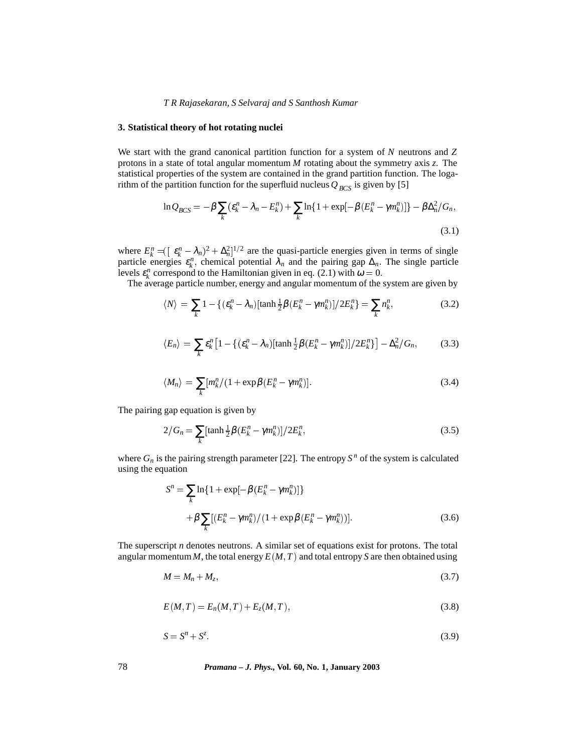### **3. Statistical theory of hot rotating nuclei**

We start with the grand canonical partition function for a system of *N* neutrons and *Z* protons in a state of total angular momentum *M* rotating about the symmetry axis *z*. The statistical properties of the system are contained in the grand partition function. The logarithm of the partition function for the superfluid nucleus  $Q_{BCS}$  is given by [5]

$$
\ln Q_{BCS} = -\beta \sum_{k} (\varepsilon_k^n - \lambda_n - E_k^n) + \sum_{k} \ln\{1 + \exp[-\beta(E_k^n - \gamma m_k^n)]\} - \beta \Delta_n^2 / G_n,
$$
\n(3.1)

where  $E_k^n = (\epsilon_k^n - \lambda_n)^2 + \Delta_n^2$ <sup>1/2</sup> are the quasi-particle energies given in terms of single particle energies  $\varepsilon_k^n$ , chemical potential  $\lambda_n$  and the pairing gap  $\Delta_n$ . The single particle levels  $\varepsilon_k^n$  correspond to the Hamiltonian given in eq. (2.1) with  $\omega = 0$ .

The average particle number, energy and angular momentum of the system are given by

$$
\langle N \rangle = \sum_{k} 1 - \left\{ (\varepsilon_k^n - \lambda_n) [\tanh \frac{1}{2} \beta (E_k^n - \gamma m_k^n)] / 2E_k^n \right\} = \sum_{k} n_k^n, \tag{3.2}
$$

$$
\langle E_n \rangle = \sum_k \varepsilon_k^n \left[ 1 - \left\{ (\varepsilon_k^n - \lambda_n) [\tanh \frac{1}{2} \beta (E_k^n - \gamma m_k^n)] / 2E_k^n \right\} \right] - \Delta_n^2 / G_n, \tag{3.3}
$$

$$
\langle M_n \rangle = \sum_{k} [m_k^n / (1 + \exp \beta (E_k^n - \gamma m_k^n)]. \tag{3.4}
$$

The pairing gap equation is given by

$$
2/G_n = \sum_{k} [\tanh \frac{1}{2} \beta (E_k^n - \gamma m_k^n)] / 2E_k^n, \tag{3.5}
$$

where  $G_n$  is the pairing strength parameter [22]. The entropy  $S^n$  of the system is calculated using the equation

$$
S^{n} = \sum_{k} \ln \{ 1 + \exp[-\beta (E_{k}^{n} - \gamma m_{k}^{n})] \}
$$
  
+  $\beta \sum_{k} [(E_{k}^{n} - \gamma m_{k}^{n})/(1 + \exp[\beta (E_{k}^{n} - \gamma m_{k}^{n}))].$  (3.6)

The superscript *n* denotes neutrons. A similar set of equations exist for protons. The total angular momentum *M*, the total energy  $E(M, T)$  and total entropy *S* are then obtained using

$$
M = M_n + M_z, \tag{3.7}
$$

$$
E(M,T) = E_n(M,T) + E_z(M,T),
$$
\n(3.8)

$$
S = S^n + S^z \tag{3.9}
$$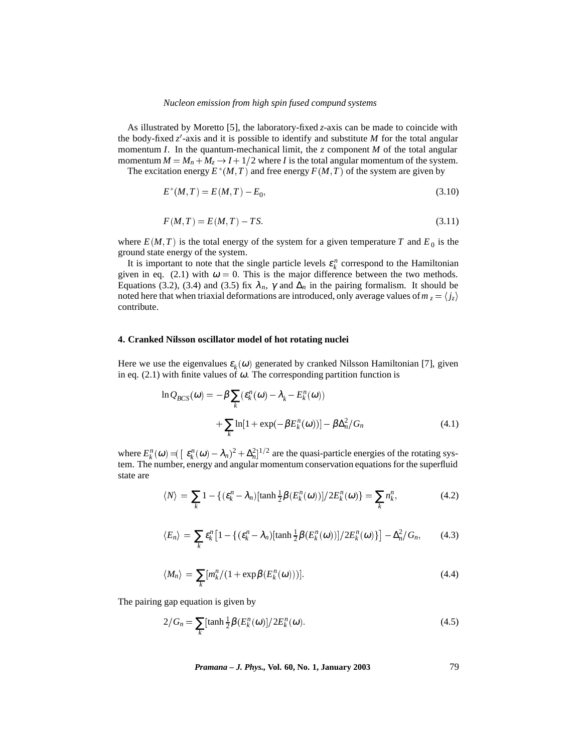As illustrated by Moretto [5], the laboratory-fixed *z*-axis can be made to coincide with the body-fixed  $z'$ -axis and it is possible to identify and substitute *M* for the total angular momentum *I*. In the quantum-mechanical limit, the *z* component *M* of the total angular momentum  $M = M_n + M_z \rightarrow I + 1/2$  where *I* is the total angular momentum of the system.

The excitation energy  $E^*(M, T)$  and free energy  $F(M, T)$  of the system are given by

$$
E^*(M,T) = E(M,T) - E_0,
$$
\n(3.10)

$$
F(M,T) = E(M,T) - TS.\tag{3.11}
$$

where  $E(M, T)$  is the total energy of the system for a given temperature T and  $E_0$  is the ground state energy of the system.

It is important to note that the single particle levels  $\varepsilon_k^n$  correspond to the Hamiltonian given in eq. (2.1) with  $\omega = 0$ . This is the major difference between the two methods. Equations (3.2), (3.4) and (3.5) fix  $\lambda_n$ ,  $\gamma$  and  $\Delta_n$  in the pairing formalism. It should be noted here that when triaxial deformations are introduced, only average values of  $m_z = \langle j_z \rangle$ contribute.

## **4. Cranked Nilsson oscillator model of hot rotating nuclei**

Here we use the eigenvalues  $\varepsilon_k(\omega)$  generated by cranked Nilsson Hamiltonian [7], given in eq. (2.1) with finite values of  $\omega$ . The corresponding partition function is

$$
\ln Q_{BCS}(\omega) = -\beta \sum_{k} (\varepsilon_k^n(\omega) - \lambda_k - E_k^n(\omega))
$$

$$
+ \sum_{k} \ln[1 + \exp(-\beta E_k^n(\omega))] - \beta \Delta_n^2 / G_n \tag{4.1}
$$

where  $E_k^n(\omega) = \left[ \varepsilon_k^n(\omega) - \lambda_n \right]^2 + \Delta_n^2]^{1/2}$  are the quasi-particle energies of the rotating system. The number, energy and angular momentum conservation equations for the superfluid state are

$$
\langle N \rangle = \sum_{k} 1 - \{ (\varepsilon_k^n - \lambda_n) [\tanh \frac{1}{2} \beta(E_k^n(\omega))] / 2E_k^n(\omega) \} = \sum_{k} n_k^n,
$$
 (4.2)

$$
\langle E_n \rangle = \sum_k \varepsilon_k^n \left[ 1 - \left\{ (\varepsilon_k^n - \lambda_n) [\tanh \frac{1}{2} \beta(E_k^n(\omega))] / 2E_k^n(\omega) \right\} \right] - \Delta_n^2 / G_n, \qquad (4.3)
$$

$$
\langle M_n \rangle = \sum_{k} [m_k^n / (1 + \exp \beta (E_k^n(\omega)))]. \tag{4.4}
$$

The pairing gap equation is given by

$$
2/G_n = \sum_{k} [\tanh \frac{1}{2} \beta(E_k^n(\omega)] / 2E_k^n(\omega). \tag{4.5}
$$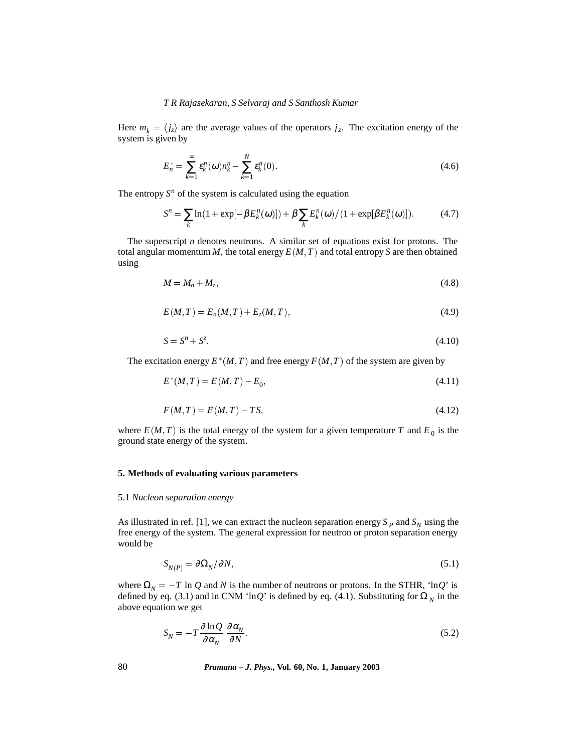Here  $m_k = \langle j_z \rangle$  are the average values of the operators  $j_z$ . The excitation energy of the system is given by

$$
E_n^* = \sum_{k=1}^{\infty} \varepsilon_k^n(\omega) n_k^n - \sum_{k=1}^N \varepsilon_k^n(0). \tag{4.6}
$$

The entropy  $S<sup>n</sup>$  of the system is calculated using the equation

$$
S^{n} = \sum_{k} \ln(1 + \exp[-\beta E_{k}^{n}(\omega)]) + \beta \sum_{k} E_{k}^{n}(\omega) / (1 + \exp[\beta E_{k}^{n}(\omega)]). \tag{4.7}
$$

The superscript *n* denotes neutrons. A similar set of equations exist for protons. The total angular momentum  $M$ , the total energy  $E(M, T)$  and total entropy  $S$  are then obtained using

$$
M = M_n + M_z, \tag{4.8}
$$

$$
E(M,T) = E_n(M,T) + E_z(M,T),
$$
\n(4.9)

$$
S = S^n + S^z. \tag{4.10}
$$

The excitation energy  $E^*(M,T)$  and free energy  $F(M,T)$  of the system are given by

$$
E^*(M, T) = E(M, T) - E_0,\tag{4.11}
$$

$$
F(M,T) = E(M,T) - TS,
$$
\n
$$
(4.12)
$$

where  $E(M, T)$  is the total energy of the system for a given temperature T and  $E_0$  is the ground state energy of the system.

# **5. Methods of evaluating various parameters**

### 5.1 *Nucleon separation energy*

As illustrated in ref. [1], we can extract the nucleon separation energy  $S_p$  and  $S_p$  using the free energy of the system. The general expression for neutron or proton separation energy would be

$$
S_{N(P)} = \partial \Omega_N / \partial N, \tag{5.1}
$$

where  $\Omega_N = -T \ln Q$  and *N* is the number of neutrons or protons. In the STHR, 'lnQ' is defined by eq. (3.1) and in CNM 'lnQ' is defined by eq. (4.1). Substituting for  $\Omega_N$  in the above equation we get

$$
S_N = -T \frac{\partial \ln Q}{\partial \alpha_N} \frac{\partial \alpha_N}{\partial N}.
$$
\n(5.2)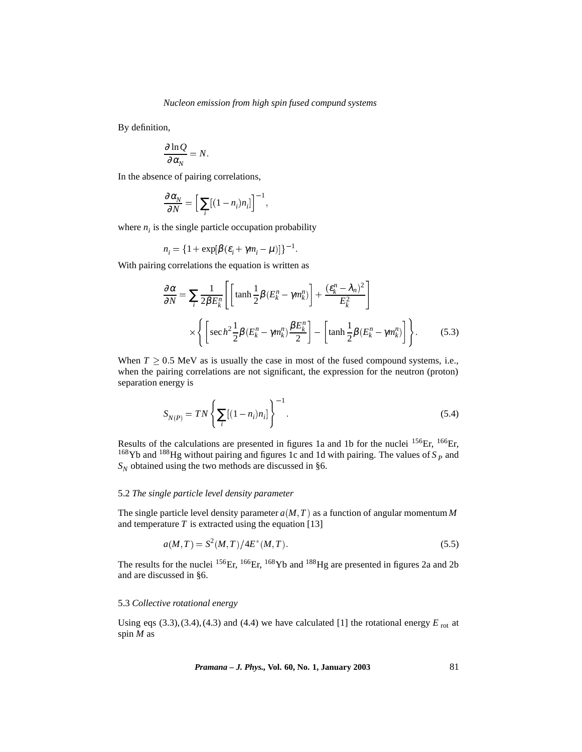By definition,

$$
\frac{\partial \ln Q}{\partial \alpha_N} = N.
$$

In the absence of pairing correlations,

$$
\frac{\partial \alpha_N}{\partial N} = \Big[ \sum_i [(1-n_i)n_i] \Big]^{-1},
$$

where  $n_i$  is the single particle occupation probability

$$
n_i = \{1 + \exp[\beta(\varepsilon_i + \gamma m_i - \mu)]\}^{-1}
$$

With pairing correlations the equation is written as

$$
\frac{\partial \alpha}{\partial N} = \sum_{i} \frac{1}{2\beta E_k^n} \left[ \left[ \tanh \frac{1}{2} \beta (E_k^n - \gamma m_k^n) \right] + \frac{(\varepsilon_k^n - \lambda_n)^2}{E_k^2} \right]
$$

$$
\times \left\{ \left[ \sec h^2 \frac{1}{2} \beta (E_k^n - \gamma m_k^n) \frac{\beta E_k^n}{2} \right] - \left[ \tanh \frac{1}{2} \beta (E_k^n - \gamma m_k^n) \right] \right\}.
$$
(5.3)

When  $T \geq 0.5$  MeV as is usually the case in most of the fused compound systems, i.e., when the pairing correlations are not significant, the expression for the neutron (proton) separation energy is

$$
S_{N(P)} = TN \left\{ \sum_{i} [(1 - n_i)n_i] \right\}^{-1}.
$$
\n(5.4)

Results of the calculations are presented in figures 1a and 1b for the nuclei <sup>156</sup>Er, <sup>166</sup>Er, <sup>168</sup>Yb and <sup>188</sup>Hg without pairing and figures 1c and 1d with pairing. The values of  $S_p$  and  $S_N$  obtained using the two methods are discussed in §6.

## 5.2 *The single particle level density parameter*

The single particle level density parameter  $a(M, T)$  as a function of angular momentum  $M$ and temperature  $T$  is extracted using the equation [13]

$$
a(M,T) = S^2(M,T)/4E^*(M,T).
$$
\n(5.5)

The results for the nuclei <sup>156</sup>Er, <sup>166</sup>Er, <sup>168</sup>Yb and <sup>188</sup>Hg are presented in figures 2a and 2b and are discussed in §6.

#### 5.3 *Collective rotational energy*

Using eqs  $(3.3)$ ,  $(3.4)$ ,  $(4.3)$  and  $(4.4)$  we have calculated [1] the rotational energy  $E_{\text{rot}}$  at spin *M* as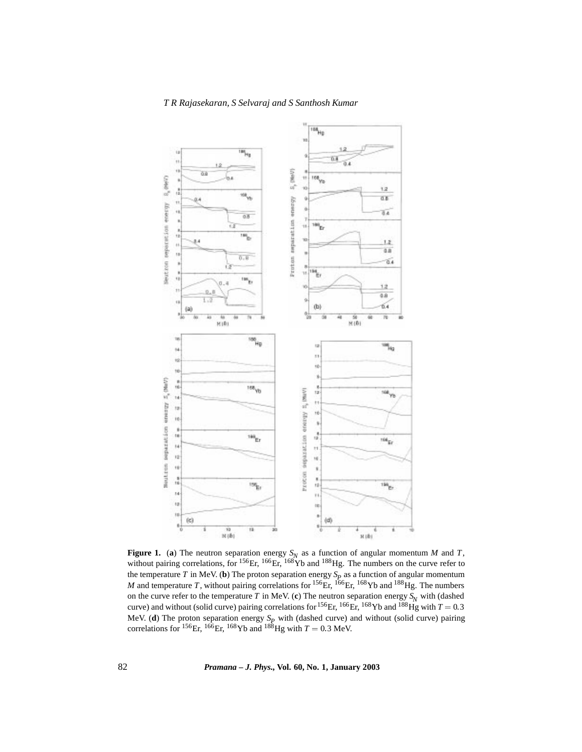



**Figure 1.** (a) The neutron separation energy  $S_N$  as a function of angular momentum *M* and *T*, without pairing correlations, for  $^{156}$ Er,  $^{166}$ Er,  $^{168}$ Yb and  $^{188}$ Hg. The numbers on the curve refer to the temperature *T* in MeV. (**b**) The proton separation energy  $S_p$  as a function of angular momentum *M* and temperature *T*, without pairing correlations for <sup>156</sup>Er, <sup>166</sup>Er, <sup>168</sup>Yb and <sup>188</sup>Hg. The numbers on the curve refer to the temperature *T* in MeV. (c) The neutron separation energy  $S_N$  with (dashed curve) and without (solid curve) pairing correlations for <sup>156</sup>Er, <sup>166</sup>Er, <sup>168</sup>Yb and <sup>188</sup>Hg with  $T = 0.3$ MeV. (**d**) The proton separation energy  $S_p$  with (dashed curve) and without (solid curve) pairing correlations for <sup>156</sup>Er, <sup>166</sup>Er, <sup>168</sup>Yb and <sup>188</sup>Hg with  $T = 0.3$  MeV.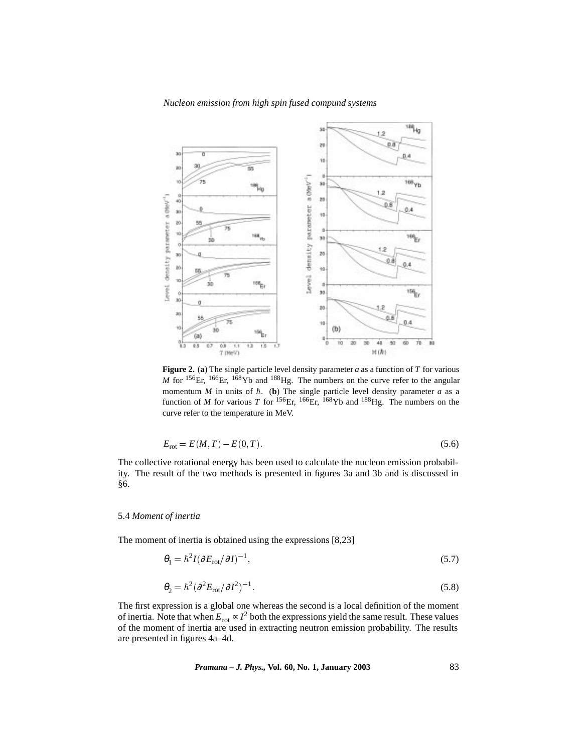

**Figure 2.** (**a**) The single particle level density parameter *a* as a function of *T* for various  $M$  for <sup>156</sup>Er, <sup>166</sup>Er, <sup>168</sup>Yb and <sup>188</sup>Hg. The numbers on the curve refer to the angular momentum *M* in units of  $\hbar$ . (**b**) The single particle level density parameter *a* as a function of *M* for various *T* for <sup>156</sup>Er, <sup>166</sup>Er, <sup>168</sup>Yb and <sup>188</sup>Hg. The numbers on the curve refer to the temperature in MeV.

$$
E_{\rm rot} = E(M, T) - E(0, T). \tag{5.6}
$$

The collective rotational energy has been used to calculate the nucleon emission probability. The result of the two methods is presented in figures 3a and 3b and is discussed in §6.

# 5.4 *Moment of inertia*

The moment of inertia is obtained using the expressions [8,23]

$$
\theta_1 = \hbar^2 I (\partial E_{\text{rot}} / \partial I)^{-1},\tag{5.7}
$$

$$
\theta_2 = \hbar^2 (\partial^2 E_{\text{rot}} / \partial I^2)^{-1}.
$$
\n(5.8)

The first expression is a global one whereas the second is a local definition of the moment of inertia. Note that when  $E_{\text{rot}} \propto I^2$  both the expressions yield the same result. These values of the moment of inertia are used in extracting neutron emission probability. The results are presented in figures 4a–4d.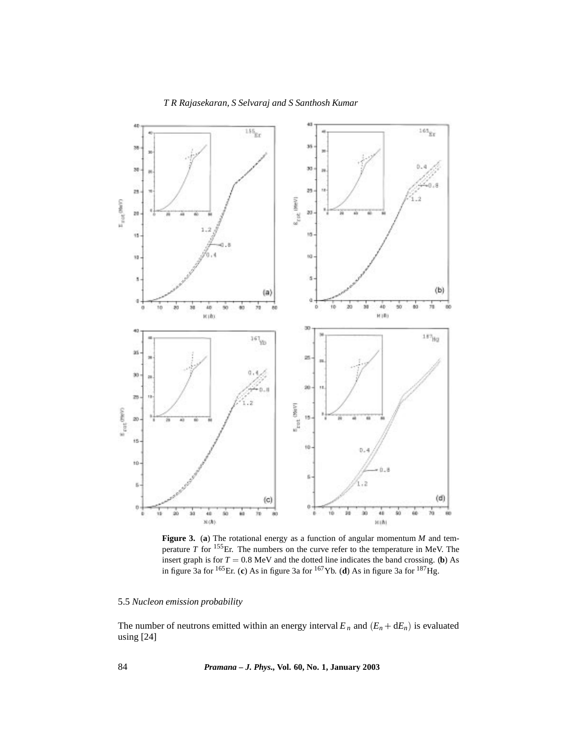

**Figure 3.** (**a**) The rotational energy as a function of angular momentum *M* and temperature *T* for 155Er. The numbers on the curve refer to the temperature in MeV. The insert graph is for  $T = 0.8 \text{ MeV}$  and the dotted line indicates the band crossing. (**b**) As in figure 3a for 165Er. (**c**) As in figure 3a for 167Yb. (**d**) As in figure 3a for 187Hg.

# 5.5 *Nucleon emission probability*

The number of neutrons emitted within an energy interval  $E_n$  and  $(E_n + dE_n)$  is evaluated using [24]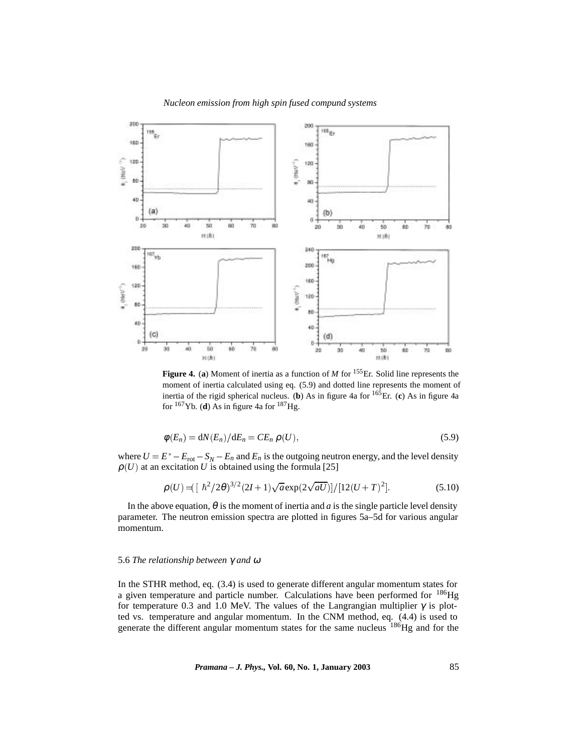

**Figure 4.** (**a**) Moment of inertia as a function of *M* for 155Er. Solid line represents the moment of inertia calculated using eq. (5.9) and dotted line represents the moment of inertia of the rigid spherical nucleus. (**b**) As in figure 4a for 165Er. (**c**) As in figure 4a for  $^{167}$ Yb. (**d**) As in figure 4a for  $^{187}$ Hg.

$$
\phi(E_n) = dN(E_n)/dE_n = CE_n \rho(U), \qquad (5.9)
$$

where  $U = E^* - E_{\text{rot}} - S_N - E_n$  and  $E_n$  is the outgoing neutron energy, and the level density  $\rho(U)$  at an excitation *U* is obtained using the formula [25]

$$
\rho(U) = \left[ \frac{\hbar^2}{2\theta} \right]^{3/2} (2I+1) \sqrt{a} \exp\left(\frac{2\sqrt{aU}}{2}\right) / \left[12(U+T)^2\right]. \tag{5.10}
$$

In the above equation,  $\theta$  is the moment of inertia and *a* is the single particle level density parameter. The neutron emission spectra are plotted in figures 5a–5d for various angular momentum.

#### 5.6 *The relationship between* γ *and* <sup>ω</sup>

In the STHR method, eq. (3.4) is used to generate different angular momentum states for a given temperature and particle number. Calculations have been performed for <sup>186</sup>Hg for temperature 0.3 and 1.0 MeV. The values of the Langrangian multiplier  $\gamma$  is plotted vs. temperature and angular momentum. In the CNM method, eq. (4.4) is used to generate the different angular momentum states for the same nucleus <sup>186</sup>Hg and for the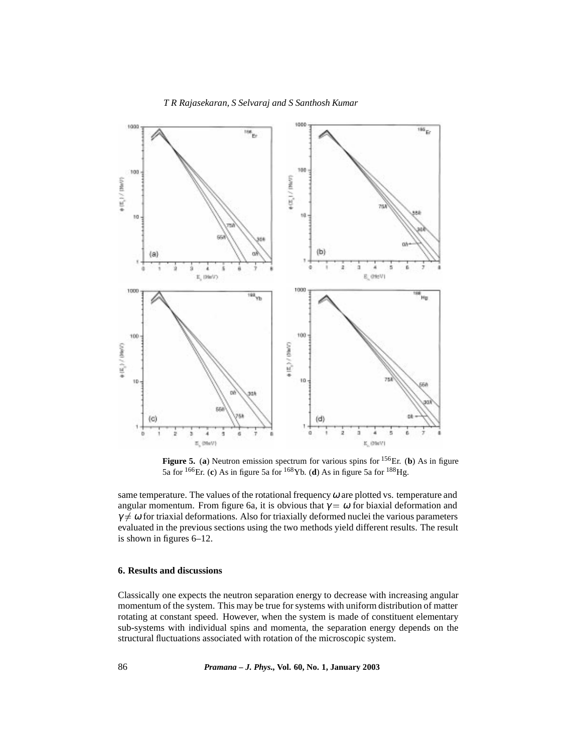

**Figure 5.** (**a**) Neutron emission spectrum for various spins for 156Er. (**b**) As in figure 5a for 166Er. (**c**) As in figure 5a for 168Yb. (**d**) As in figure 5a for 188Hg.

same temperature. The values of the rotational frequency  $\omega$  are plotted vs. temperature and angular momentum. From figure 6a, it is obvious that  $\gamma = \omega$  for biaxial deformation and  $\gamma \neq \omega$  for triaxial deformations. Also for triaxially deformed nuclei the various parameters evaluated in the previous sections using the two methods yield different results. The result is shown in figures 6–12.

### **6. Results and discussions**

Classically one expects the neutron separation energy to decrease with increasing angular momentum of the system. This may be true for systems with uniform distribution of matter rotating at constant speed. However, when the system is made of constituent elementary sub-systems with individual spins and momenta, the separation energy depends on the structural fluctuations associated with rotation of the microscopic system.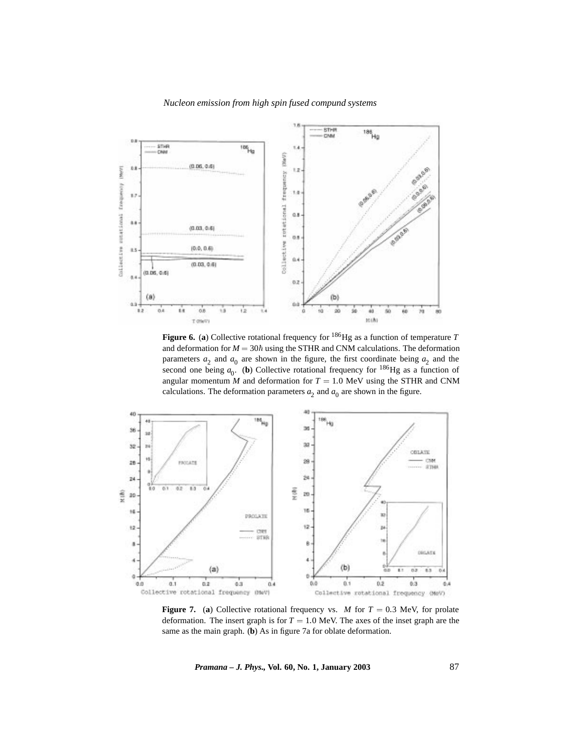

**Figure 6.** (**a**) Collective rotational frequency for 186Hg as a function of temperature *T* and deformation for  $M = 30\hbar$  using the STHR and CNM calculations. The deformation parameters  $a_2$  and  $a_0$  are shown in the figure, the first coordinate being  $a_2$  and the second one being  $a_0$ . (**b**) Collective rotational frequency for <sup>186</sup>Hg as a function of angular momentum *M* and deformation for  $T = 1.0$  MeV using the STHR and CNM calculations. The deformation parameters  $a_2$  and  $a_0$  are shown in the figure.



**Figure 7.** (a) Collective rotational frequency vs. *M* for  $T = 0.3$  MeV, for prolate deformation. The insert graph is for  $T = 1.0$  MeV. The axes of the inset graph are the same as the main graph. (**b**) As in figure 7a for oblate deformation.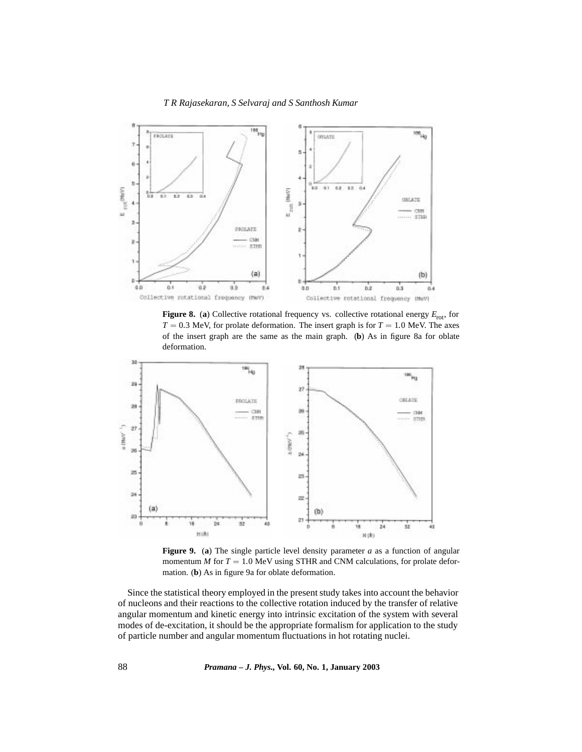

**Figure 8.** (a) Collective rotational frequency vs. collective rotational energy  $E_{\text{rot}}$ , for  $T = 0.3$  MeV, for prolate deformation. The insert graph is for  $T = 1.0$  MeV. The axes of the insert graph are the same as the main graph. (**b**) As in figure 8a for oblate deformation.



**Figure 9.** (**a**) The single particle level density parameter *a* as a function of angular momentum  $M$  for  $T = 1.0$  MeV using STHR and CNM calculations, for prolate deformation. (**b**) As in figure 9a for oblate deformation.

Since the statistical theory employed in the present study takes into account the behavior of nucleons and their reactions to the collective rotation induced by the transfer of relative angular momentum and kinetic energy into intrinsic excitation of the system with several modes of de-excitation, it should be the appropriate formalism for application to the study of particle number and angular momentum fluctuations in hot rotating nuclei.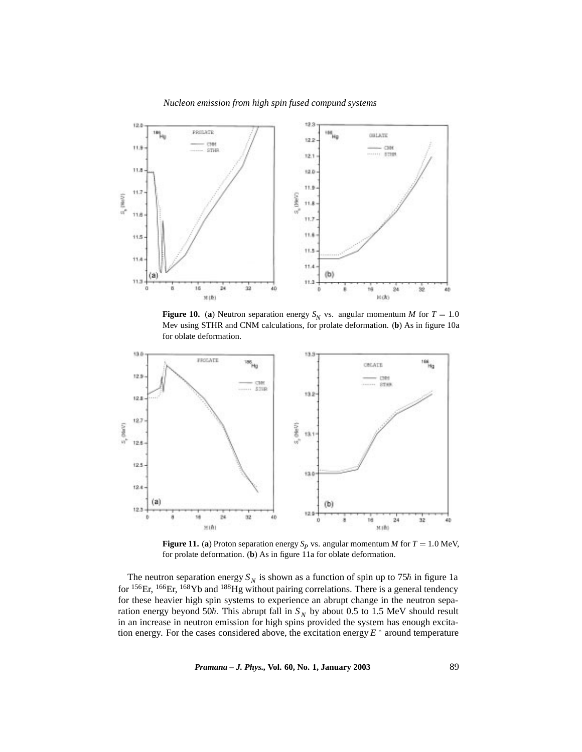

**Figure 10.** (a) Neutron separation energy  $S_N$  vs. angular momentum *M* for  $T = 1.0$ Mev using STHR and CNM calculations, for prolate deformation. (**b**) As in figure 10a for oblate deformation.



**Figure 11.** (a) Proton separation energy  $S_p$  vs. angular momentum *M* for *T* = 1.0 MeV, for prolate deformation. (**b**) As in figure 11a for oblate deformation.

The neutron separation energy  $S_N$  is shown as a function of spin up to 75 $\hbar$  in figure 1a for <sup>156</sup>Er, <sup>166</sup>Er, <sup>168</sup>Yb and <sup>188</sup>Hg without pairing correlations. There is a general tendency for these heavier high spin systems to experience an abrupt change in the neutron separation energy beyond 50 $\hbar$ . This abrupt fall in  $S_N$  by about 0.5 to 1.5 MeV should result in an increase in neutron emission for high spins provided the system has enough excitation energy. For the cases considered above, the excitation energy  $E^*$  around temperature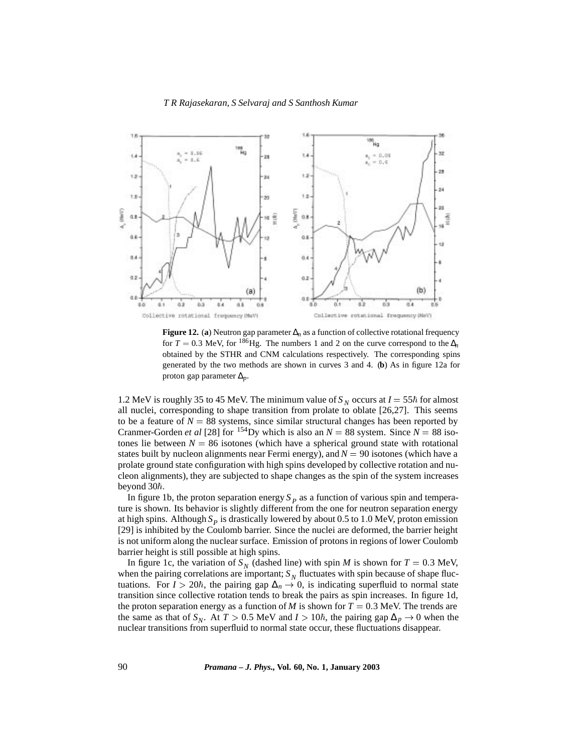

**Figure 12.** (**a**) Neutron gap parameter ∆*n* as a function of collective rotational frequency for  $T = 0.3$  MeV, for <sup>186</sup>Hg. The numbers 1 and 2 on the curve correspond to the  $\Delta$ <sup>*n*</sup> obtained by the STHR and CNM calculations respectively. The corresponding spins generated by the two methods are shown in curves 3 and 4. (**b**) As in figure 12a for proton gap parameter ∆*p* :

1.2 MeV is roughly 35 to 45 MeV. The minimum value of  $S_N$  occurs at  $I = 55\hbar$  for almost all nuclei, corresponding to shape transition from prolate to oblate [26,27]. This seems to be a feature of  $N = 88$  systems, since similar structural changes has been reported by Cranmer-Gorden *et al* [28] for <sup>154</sup>Dy which is also an  $N = 88$  system. Since  $N = 88$  isotones lie between  $N = 86$  isotones (which have a spherical ground state with rotational states built by nucleon alignments near Fermi energy), and  $N = 90$  isotones (which have a prolate ground state configuration with high spins developed by collective rotation and nucleon alignments), they are subjected to shape changes as the spin of the system increases beyond  $30<sup>\hbar</sup>$ .

In figure 1b, the proton separation energy  $S_p$  as a function of various spin and temperature is shown. Its behavior is slightly different from the one for neutron separation energy at high spins. Although  $S_p$  is drastically lowered by about 0.5 to 1.0 MeV, proton emission [29] is inhibited by the Coulomb barrier. Since the nuclei are deformed, the barrier height is not uniform along the nuclear surface. Emission of protons in regions of lower Coulomb barrier height is still possible at high spins.

In figure 1c, the variation of  $S_N$  (dashed line) with spin *M* is shown for  $T = 0.3$  MeV, when the pairing correlations are important;  $S_N$  fluctuates with spin because of shape fluctuations. For  $I > 20\hbar$ , the pairing gap  $\Delta_n \to 0$ , is indicating superfluid to normal state transition since collective rotation tends to break the pairs as spin increases. In figure 1d, the proton separation energy as a function of *M* is shown for  $T = 0.3$  MeV. The trends are the same as that of *S<sub>N</sub>*. At *T* > 0.5 MeV and *I* > 10 $\hbar$ , the pairing gap  $\Delta_p \rightarrow 0$  when the nuclear transitions from superfluid to normal state occur, these fluctuations disappear.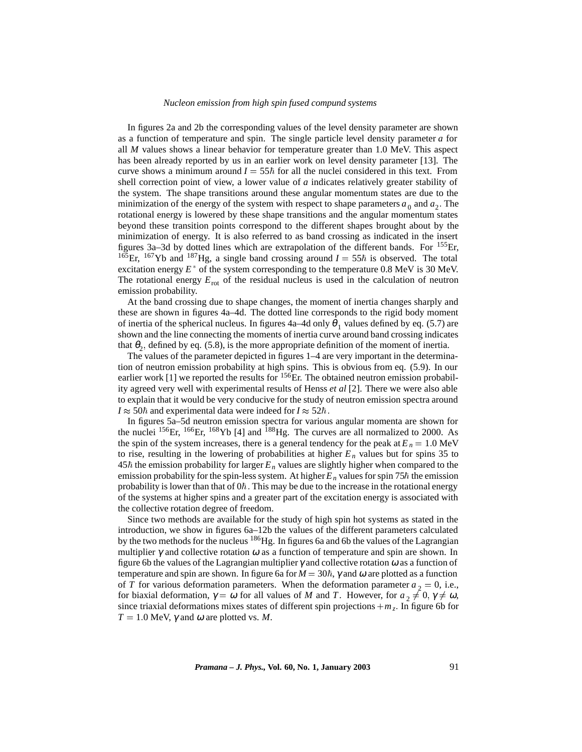In figures 2a and 2b the corresponding values of the level density parameter are shown as a function of temperature and spin. The single particle level density parameter *a* for all *M* values shows a linear behavior for temperature greater than 1.0 MeV. This aspect has been already reported by us in an earlier work on level density parameter [13]. The curve shows a minimum around  $I = 55\hbar$  for all the nuclei considered in this text. From shell correction point of view, a lower value of *a* indicates relatively greater stability of the system. The shape transitions around these angular momentum states are due to the minimization of the energy of the system with respect to shape parameters  $a_0$  and  $a_2$ . The rotational energy is lowered by these shape transitions and the angular momentum states beyond these transition points correspond to the different shapes brought about by the minimization of energy. It is also referred to as band crossing as indicated in the insert figures 3a–3d by dotted lines which are extrapolation of the different bands. For 155Er, <sup>165</sup>Er, <sup>167</sup>Yb and <sup>187</sup>Hg, a single band crossing around  $I = 55\hbar$  is observed. The total excitation energy  $E^*$  of the system corresponding to the temperature 0.8 MeV is 30 MeV. The rotational energy  $E_{\text{rot}}$  of the residual nucleus is used in the calculation of neutron emission probability.

At the band crossing due to shape changes, the moment of inertia changes sharply and these are shown in figures 4a–4d. The dotted line corresponds to the rigid body moment of inertia of the spherical nucleus. In figures 4a–4d only  $\theta_1$  values defined by eq. (5.7) are shown and the line connecting the moments of inertia curve around band crossing indicates that  $\theta_2$ , defined by eq. (5.8), is the more appropriate definition of the moment of inertia.

The values of the parameter depicted in figures 1–4 are very important in the determination of neutron emission probability at high spins. This is obvious from eq. (5.9). In our earlier work  $[1]$  we reported the results for  $^{156}$ Er. The obtained neutron emission probability agreed very well with experimental results of Henss *et al* [2]. There we were also able to explain that it would be very conducive for the study of neutron emission spectra around  $I \approx 50\hbar$  and experimental data were indeed for  $I \approx 52\hbar$ .

In figures 5a–5d neutron emission spectra for various angular momenta are shown for the nuclei  ${}^{156}$ Er,  ${}^{166}$ Er,  ${}^{168}$ Yb [4] and  ${}^{188}$ Hg. The curves are all normalized to 2000. As the spin of the system increases, there is a general tendency for the peak at  $E_n = 1.0$  MeV to rise, resulting in the lowering of probabilities at higher  $E_n$  values but for spins 35 to  $45<sup>h</sup>$  the emission probability for larger  $E<sub>n</sub>$  values are slightly higher when compared to the emission probability for the spin-less system. At higher  $E_n$  values for spin 75 $\hbar$  the emission probability is lower than that of  $0\hbar$ . This may be due to the increase in the rotational energy of the systems at higher spins and a greater part of the excitation energy is associated with the collective rotation degree of freedom.

Since two methods are available for the study of high spin hot systems as stated in the introduction, we show in figures 6a–12b the values of the different parameters calculated by the two methods for the nucleus 186Hg. In figures 6a and 6b the values of the Lagrangian multiplier  $\gamma$  and collective rotation  $\omega$  as a function of temperature and spin are shown. In figure 6b the values of the Lagrangian multiplier  $\gamma$  and collective rotation  $\omega$  as a function of temperature and spin are shown. In figure 6a for  $M = 30\hbar$ ,  $\gamma$  and  $\omega$  are plotted as a function of *T* for various deformation parameters. When the deformation parameter  $a_2 = 0$ , i.e., for biaxial deformation,  $\gamma = \omega$  for all values of *M* and *T*. However, for  $a_2 \neq 0$ ,  $\gamma \neq \omega$ , since triaxial deformations mixes states of different spin projections  $+m<sub>z</sub>$ . In figure 6b for  $T = 1.0$  MeV,  $\gamma$  and  $\omega$  are plotted vs. *M*.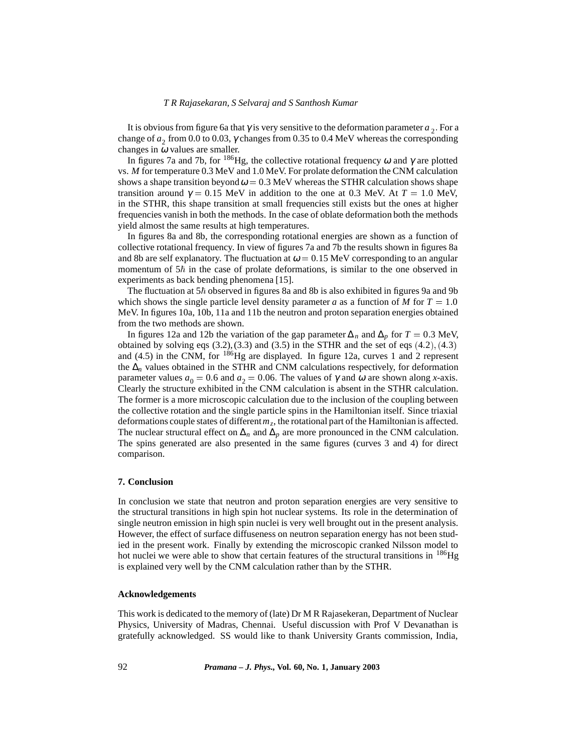It is obvious from figure 6a that  $\gamma$  is very sensitive to the deformation parameter  $a_2$ . For a change of  $a_2$  from 0.0 to 0.03,  $\gamma$  changes from 0.35 to 0.4 MeV whereas the corresponding changes in  $\omega$  values are smaller.

In figures 7a and 7b, for <sup>186</sup>Hg, the collective rotational frequency  $\omega$  and  $\gamma$  are plotted vs. *M* for temperature 0.3 MeV and 1.0 MeV. For prolate deformation the CNM calculation shows a shape transition beyond  $\omega = 0.3$  MeV whereas the STHR calculation shows shape transition around  $\gamma = 0.15$  MeV in addition to the one at 0.3 MeV. At  $T = 1.0$  MeV, in the STHR, this shape transition at small frequencies still exists but the ones at higher frequencies vanish in both the methods. In the case of oblate deformation both the methods yield almost the same results at high temperatures.

In figures 8a and 8b, the corresponding rotational energies are shown as a function of collective rotational frequency. In view of figures 7a and 7b the results shown in figures 8a and 8b are self explanatory. The fluctuation at  $\omega = 0.15 \text{ MeV}$  corresponding to an angular momentum of  $5\hbar$  in the case of prolate deformations, is similar to the one observed in experiments as back bending phenomena [15].

The fluctuation at  $5\hbar$  observed in figures 8a and 8b is also exhibited in figures 9a and 9b which shows the single particle level density parameter *a* as a function of *M* for  $T = 1.0$ MeV. In figures 10a, 10b, 11a and 11b the neutron and proton separation energies obtained from the two methods are shown.

In figures 12a and 12b the variation of the gap parameter  $\Delta_n$  and  $\Delta_p$  for  $T = 0.3$  MeV, obtained by solving eqs  $(3.2)$ ,  $(3.3)$  and  $(3.5)$  in the STHR and the set of eqs  $(4.2)$ ,  $(4.3)$ and (4.5) in the CNM, for  $^{186}$ Hg are displayed. In figure 12a, curves 1 and 2 represent the ∆*<sup>n</sup>* values obtained in the STHR and CNM calculations respectively, for deformation parameter values  $a_0 = 0.6$  and  $a_2 = 0.06$ . The values of  $\gamma$  and  $\omega$  are shown along *x*-axis. Clearly the structure exhibited in the CNM calculation is absent in the STHR calculation. The former is a more microscopic calculation due to the inclusion of the coupling between the collective rotation and the single particle spins in the Hamiltonian itself. Since triaxial deformations couple states of different  $m<sub>z</sub>$ , the rotational part of the Hamiltonian is affected. The nuclear structural effect on  $\Delta_n$  and  $\Delta_p$  are more pronounced in the CNM calculation. The spins generated are also presented in the same figures (curves 3 and 4) for direct comparison.

## **7. Conclusion**

In conclusion we state that neutron and proton separation energies are very sensitive to the structural transitions in high spin hot nuclear systems. Its role in the determination of single neutron emission in high spin nuclei is very well brought out in the present analysis. However, the effect of surface diffuseness on neutron separation energy has not been studied in the present work. Finally by extending the microscopic cranked Nilsson model to hot nuclei we were able to show that certain features of the structural transitions in  $^{186}$ Hg is explained very well by the CNM calculation rather than by the STHR.

# **Acknowledgements**

This work is dedicated to the memory of (late) Dr M R Rajasekeran, Department of Nuclear Physics, University of Madras, Chennai. Useful discussion with Prof V Devanathan is gratefully acknowledged. SS would like to thank University Grants commission, India,